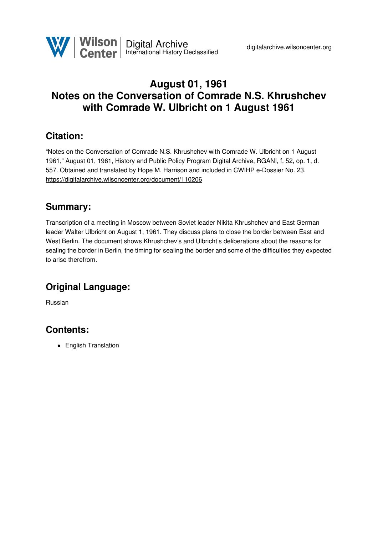

## **August 01, 1961 Notes on the Conversation of Comrade N.S. Khrushchev with Comrade W. Ulbricht on 1 August 1961**

## **Citation:**

"Notes on the Conversation of Comrade N.S. Khrushchev with Comrade W. Ulbricht on 1 August 1961," August 01, 1961, History and Public Policy Program Digital Archive, RGANI, f. 52, op. 1, d. 557. Obtained and translated by Hope M. Harrison and included in CWIHP e-Dossier No. 23. <https://digitalarchive.wilsoncenter.org/document/110206>

## **Summary:**

Transcription of a meeting in Moscow between Soviet leader Nikita Khrushchev and East German leader Walter Ulbricht on August 1, 1961. They discuss plans to close the border between East and West Berlin. The document shows Khrushchev's and Ulbricht's deliberations about the reasons for sealing the border in Berlin, the timing for sealing the border and some of the difficulties they expected to arise therefrom.

# **Original Language:**

Russian

## **Contents:**

• English Translation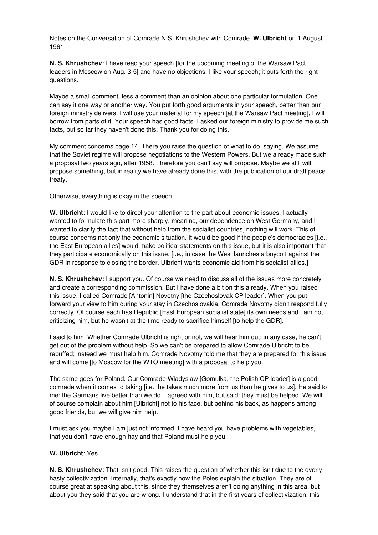Notes on the Conversation of Comrade N.S. Khrushchev with Comrade **W. Ulbricht** on 1 August 1961

**N. S. Khrushchev**: I have read your speech [for the upcoming meeting of the Warsaw Pact leaders in Moscow on Aug. 3-5] and have no objections. I like your speech; it puts forth the right questions.

Maybe a small comment, less a comment than an opinion about one particular formulation. One can say it one way or another way. You put forth good arguments in your speech, better than our foreign ministry delivers. I will use your material for my speech [at the Warsaw Pact meeting], I will borrow from parts of it. Your speech has good facts. I asked our foreign ministry to provide me such facts, but so far they haven't done this. Thank you for doing this.

My comment concerns page 14. There you raise the question of what to do, saying, We assume that the Soviet regime will propose negotiations to the Western Powers. But we already made such a proposal two years ago, after 1958. Therefore you can't say will propose. Maybe we still will propose something, but in reality we have already done this, with the publication of our draft peace treaty.

Otherwise, everything is okay in the speech.

**W. Ulbricht**: I would like to direct your attention to the part about economic issues. I actually wanted to formulate this part more sharply, meaning, our dependence on West Germany, and I wanted to clarify the fact that without help from the socialist countries, nothing will work. This of course concerns not only the economic situation. It would be good if the people's democracies [i.e., the East European allies] would make political statements on this issue, but it is also important that they participate economically on this issue. [i.e., in case the West launches a boycott against the GDR in response to closing the border, Ulbricht wants economic aid from his socialist allies.]

**N. S. Khrushchev**: I support you. Of course we need to discuss all of the issues more concretely and create a corresponding commission. But I have done a bit on this already. When you raised this issue, I called Comrade [Antonin] Novotny [the Czechoslovak CP leader]. When you put forward your view to him during your stay in Czechoslovakia, Comrade Novotny didn't respond fully correctly. Of course each has Republic [East European socialist state] its own needs and I am not criticizing him, but he wasn't at the time ready to sacrifice himself [to help the GDR].

I said to him: Whether Comrade Ulbricht is right or not, we will hear him out; in any case, he can't get out of the problem without help. So we can't be prepared to allow Comrade Ulbricht to be rebuffed; instead we must help him. Comrade Novotny told me that they are prepared for this issue and will come [to Moscow for the WTO meeting] with a proposal to help you.

The same goes for Poland. Our Comrade Wladyslaw [Gomulka, the Polish CP leader] is a good comrade when it comes to taking [i.e., he takes much more from us than he gives to us]. He said to me: the Germans live better than we do. I agreed with him, but said: they must be helped. We will of course complain about him [Ulbricht] not to his face, but behind his back, as happens among good friends, but we will give him help.

I must ask you maybe I am just not informed. I have heard you have problems with vegetables, that you don't have enough hay and that Poland must help you.

### **W. Ulbricht**: Yes.

**N. S. Khrushchev**: That isn't good. This raises the question of whether this isn't due to the overly hasty collectivization. Internally, that's exactly how the Poles explain the situation. They are of course great at speaking about this, since they themselves aren't doing anything in this area, but about you they said that you are wrong. I understand that in the first years of collectivization, this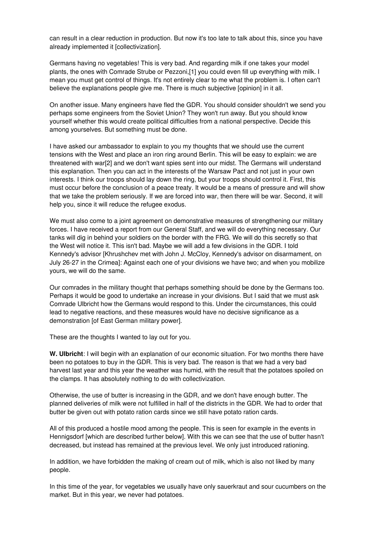can result in a clear reduction in production. But now it's too late to talk about this, since you have already implemented it [collectivization].

Germans having no vegetables! This is very bad. And regarding milk if one takes your model plants, the ones with Comrade Strube or Pezzoni,[1] you could even fill up everything with milk. I mean you must get control of things. It's not entirely clear to me what the problem is. I often can't believe the explanations people give me. There is much subjective [opinion] in it all.

On another issue. Many engineers have fled the GDR. You should consider shouldn't we send you perhaps some engineers from the Soviet Union? They won't run away. But you should know yourself whether this would create political difficulties from a national perspective. Decide this among yourselves. But something must be done.

I have asked our ambassador to explain to you my thoughts that we should use the current tensions with the West and place an iron ring around Berlin. This will be easy to explain: we are threatened with war[2] and we don't want spies sent into our midst. The Germans will understand this explanation. Then you can act in the interests of the Warsaw Pact and not just in your own interests. I think our troops should lay down the ring, but your troops should control it. First, this must occur before the conclusion of a peace treaty. It would be a means of pressure and will show that we take the problem seriously. If we are forced into war, then there will be war. Second, it will help you, since it will reduce the refugee exodus.

We must also come to a joint agreement on demonstrative measures of strengthening our military forces. I have received a report from our General Staff, and we will do everything necessary. Our tanks will dig in behind your soldiers on the border with the FRG. We will do this secretly so that the West will notice it. This isn't bad. Maybe we will add a few divisions in the GDR. I told Kennedy's advisor [Khrushchev met with John J. McCloy, Kennedy's advisor on disarmament, on July 26-27 in the Crimea]: Against each one of your divisions we have two; and when you mobilize yours, we will do the same.

Our comrades in the military thought that perhaps something should be done by the Germans too. Perhaps it would be good to undertake an increase in your divisions. But I said that we must ask Comrade Ulbricht how the Germans would respond to this. Under the circumstances, this could lead to negative reactions, and these measures would have no decisive significance as a demonstration [of East German military power].

These are the thoughts I wanted to lay out for you.

**W. Ulbricht**: I will begin with an explanation of our economic situation. For two months there have been no potatoes to buy in the GDR. This is very bad. The reason is that we had a very bad harvest last year and this year the weather was humid, with the result that the potatoes spoiled on the clamps. It has absolutely nothing to do with collectivization.

Otherwise, the use of butter is increasing in the GDR, and we don't have enough butter. The planned deliveries of milk were not fulfilled in half of the districts in the GDR. We had to order that butter be given out with potato ration cards since we still have potato ration cards.

All of this produced a hostile mood among the people. This is seen for example in the events in Hennigsdorf [which are described further below]. With this we can see that the use of butter hasn't decreased, but instead has remained at the previous level. We only just introduced rationing.

In addition, we have forbidden the making of cream out of milk, which is also not liked by many people.

In this time of the year, for vegetables we usually have only sauerkraut and sour cucumbers on the market. But in this year, we never had potatoes.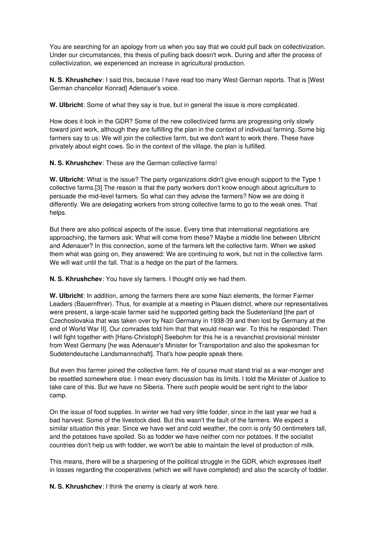You are searching for an apology from us when you say that we could pull back on collectivization. Under our circumstances, this thesis of pulling back doesn't work. During and after the process of collectivization, we experienced an increase in agricultural production.

**N. S. Khrushchev**: I said this, because I have read too many West German reports. That is [West German chancellor Konrad] Adenauer's voice.

**W. Ulbricht**: Some of what they say is true, but in general the issue is more complicated.

How does it look in the GDR? Some of the new collectivized farms are progressing only slowly toward joint work, although they are fulfilling the plan in the context of individual farming. Some big farmers say to us: We will join the collective farm, but we don't want to work there. These have privately about eight cows. So in the context of the village, the plan is fulfilled.

**N. S. Khrushchev**: These are the German collective farms!

**W. Ulbricht**: What is the issue? The party organizations didn't give enough support to the Type 1 collective farms.[3] The reason is that the party workers don't know enough about agriculture to persuade the mid-level farmers. So what can they advise the farmers? Now we are doing it differently. We are delegating workers from strong collective farms to go to the weak ones. That helps.

But there are also political aspects of the issue. Every time that international negotiations are approaching, the farmers ask: What will come from these? Maybe a middle line between Ulbricht and Adenauer? In this connection, some of the farmers left the collective farm. When we asked them what was going on, they answered: We are continuing to work, but not in the collective farm. We will wait until the fall. That is a hedge on the part of the farmers.

**N. S. Khrushchev**: You have sly farmers. I thought only we had them.

**W. Ulbricht**: In addition, among the farmers there are some Nazi elements, the former Farmer Leaders (Bauernfhrer). Thus, for example at a meeting in Plauen district, where our representatives were present, a large-scale farmer said he supported getting back the Sudetenland [the part of Czechoslovakia that was taken over by Nazi Germany in 1938-39 and then lost by Germany at the end of World War II]. Our comrades told him that that would mean war. To this he responded: Then I will fight together with [Hans-Christoph] Seebohm for this he is a revanchist provisional minister from West Germany [he was Adenauer's Minister for Transportation and also the spokesman for Sudetendeutsche Landsmannschaft]. That's how people speak there.

But even this farmer joined the collective farm. He of course must stand trial as a war-monger and be resettled somewhere else. I mean every discussion has its limits. I told the Minister of Justice to take care of this. But we have no Siberia. There such people would be sent right to the labor camp.

On the issue of food supplies. In winter we had very little fodder, since in the last year we had a bad harvest. Some of the livestock died. But this wasn't the fault of the farmers. We expect a similar situation this year. Since we have wet and cold weather, the corn is only 50 centimeters tall, and the potatoes have spoiled. So as fodder we have neither corn nor potatoes. If the socialist countries don't help us with fodder, we won't be able to maintain the level of production of milk.

This means, there will be a sharpening of the political struggle in the GDR, which expresses itself in losses regarding the cooperatives (which we will have completed) and also the scarcity of fodder.

**N. S. Khrushchev**: I think the enemy is clearly at work here.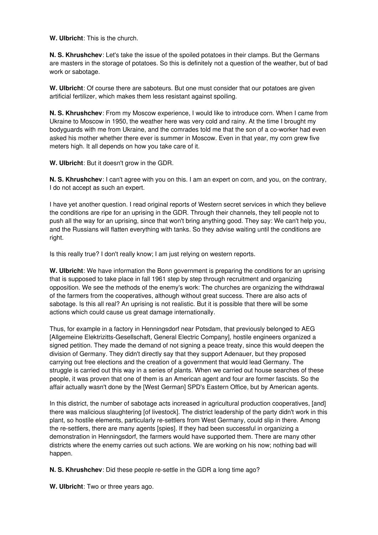**W. Ulbricht**: This is the church.

**N. S. Khrushchev**: Let's take the issue of the spoiled potatoes in their clamps. But the Germans are masters in the storage of potatoes. So this is definitely not a question of the weather, but of bad work or sabotage.

**W. Ulbricht**: Of course there are saboteurs. But one must consider that our potatoes are given artificial fertilizer, which makes them less resistant against spoiling.

**N. S. Khrushchev**: From my Moscow experience, I would like to introduce corn. When I came from Ukraine to Moscow in 1950, the weather here was very cold and rainy. At the time I brought my bodyguards with me from Ukraine, and the comrades told me that the son of a co-worker had even asked his mother whether there ever is summer in Moscow. Even in that year, my corn grew five meters high. It all depends on how you take care of it.

**W. Ulbricht**: But it doesn't grow in the GDR.

**N. S. Khrushchev**: I can't agree with you on this. I am an expert on corn, and you, on the contrary, I do not accept as such an expert.

I have yet another question. I read original reports of Western secret services in which they believe the conditions are ripe for an uprising in the GDR. Through their channels, they tell people not to push all the way for an uprising, since that won't bring anything good. They say: We can't help you, and the Russians will flatten everything with tanks. So they advise waiting until the conditions are right.

Is this really true? I don't really know; I am just relying on western reports.

**W. Ulbricht**: We have information the Bonn government is preparing the conditions for an uprising that is supposed to take place in fall 1961 step by step through recruitment and organizing opposition. We see the methods of the enemy's work: The churches are organizing the withdrawal of the farmers from the cooperatives, although without great success. There are also acts of sabotage. Is this all real? An uprising is not realistic. But it is possible that there will be some actions which could cause us great damage internationally.

Thus, for example in a factory in Henningsdorf near Potsdam, that previously belonged to AEG [Allgemeine Elektrizitts-Gesellschaft, General Electric Company], hostile engineers organized a signed petition. They made the demand of not signing a peace treaty, since this would deepen the division of Germany. They didn't directly say that they support Adenauer, but they proposed carrying out free elections and the creation of a government that would lead Germany. The struggle is carried out this way in a series of plants. When we carried out house searches of these people, it was proven that one of them is an American agent and four are former fascists. So the affair actually wasn't done by the [West German] SPD's Eastern Office, but by American agents.

In this district, the number of sabotage acts increased in agricultural production cooperatives, [and] there was malicious slaughtering [of livestock]. The district leadership of the party didn't work in this plant, so hostile elements, particularly re-settlers from West Germany, could slip in there. Among the re-settlers, there are many agents [spies]. If they had been successful in organizing a demonstration in Henningsdorf, the farmers would have supported them. There are many other districts where the enemy carries out such actions. We are working on his now; nothing bad will happen.

**N. S. Khrushchev**: Did these people re-settle in the GDR a long time ago?

**W. Ulbricht**: Two or three years ago.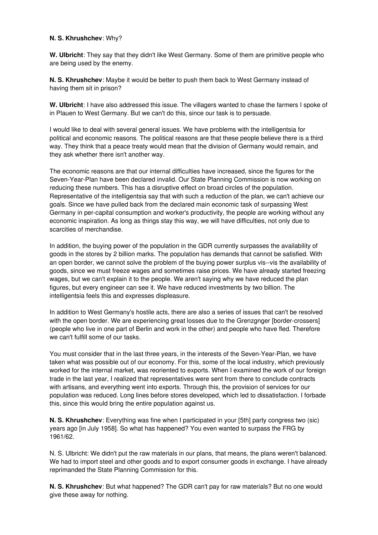#### **N. S. Khrushchev**: Why?

**W. Ulbricht**: They say that they didn't like West Germany. Some of them are primitive people who are being used by the enemy.

**N. S. Khrushchev**: Maybe it would be better to push them back to West Germany instead of having them sit in prison?

**W. Ulbricht**: I have also addressed this issue. The villagers wanted to chase the farmers I spoke of in Plauen to West Germany. But we can't do this, since our task is to persuade.

I would like to deal with several general issues. We have problems with the intelligentsia for political and economic reasons. The political reasons are that these people believe there is a third way. They think that a peace treaty would mean that the division of Germany would remain, and they ask whether there isn't another way.

The economic reasons are that our internal difficulties have increased, since the figures for the Seven-Year-Plan have been declared invalid. Our State Planning Commission is now working on reducing these numbers. This has a disruptive effect on broad circles of the population. Representative of the intelligentsia say that with such a reduction of the plan, we can't achieve our goals. Since we have pulled back from the declared main economic task of surpassing West Germany in per-capital consumption and worker's productivity, the people are working without any economic inspiration. As long as things stay this way, we will have difficulties, not only due to scarcities of merchandise.

In addition, the buying power of the population in the GDR currently surpasses the availability of goods in the stores by 2 billion marks. The population has demands that cannot be satisfied. With an open border, we cannot solve the problem of the buying power surplus vis--vis the availability of goods, since we must freeze wages and sometimes raise prices. We have already started freezing wages, but we can't explain it to the people. We aren't saying why we have reduced the plan figures, but every engineer can see it. We have reduced investments by two billion. The intelligentsia feels this and expresses displeasure.

In addition to West Germany's hostile acts, there are also a series of issues that can't be resolved with the open border. We are experiencing great losses due to the Grenzgnger [border-crossers] (people who live in one part of Berlin and work in the other) and people who have fled. Therefore we can't fulfill some of our tasks.

You must consider that in the last three years, in the interests of the Seven-Year-Plan, we have taken what was possible out of our economy. For this, some of the local industry, which previously worked for the internal market, was reoriented to exports. When I examined the work of our foreign trade in the last year, I realized that representatives were sent from there to conclude contracts with artisans, and everything went into exports. Through this, the provision of services for our population was reduced. Long lines before stores developed, which led to dissatisfaction. I forbade this, since this would bring the entire population against us.

**N. S. Khrushchev**: Everything was fine when I participated in your [5th] party congress two (sic) years ago [in July 1958]. So what has happened? You even wanted to surpass the FRG by 1961/62.

N. S. Ulbricht: We didn't put the raw materials in our plans, that means, the plans weren't balanced. We had to import steel and other goods and to export consumer goods in exchange. I have already reprimanded the State Planning Commission for this.

**N. S. Khrushchev**: But what happened? The GDR can't pay for raw materials? But no one would give these away for nothing.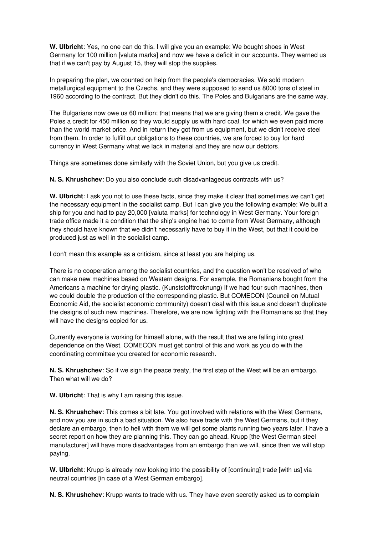**W. Ulbricht**: Yes, no one can do this. I will give you an example: We bought shoes in West Germany for 100 million [valuta marks] and now we have a deficit in our accounts. They warned us that if we can't pay by August 15, they will stop the supplies.

In preparing the plan, we counted on help from the people's democracies. We sold modern metallurgical equipment to the Czechs, and they were supposed to send us 8000 tons of steel in 1960 according to the contract. But they didn't do this. The Poles and Bulgarians are the same way.

The Bulgarians now owe us 60 million; that means that we are giving them a credit. We gave the Poles a credit for 450 million so they would supply us with hard coal, for which we even paid more than the world market price. And in return they got from us equipment, but we didn't receive steel from them. In order to fulfill our obligations to these countries, we are forced to buy for hard currency in West Germany what we lack in material and they are now our debtors.

Things are sometimes done similarly with the Soviet Union, but you give us credit.

**N. S. Khrushchev**: Do you also conclude such disadvantageous contracts with us?

**W. Ulbricht**: I ask you not to use these facts, since they make it clear that sometimes we can't get the necessary equipment in the socialist camp. But I can give you the following example: We built a ship for you and had to pay 20,000 [valuta marks] for technology in West Germany. Your foreign trade office made it a condition that the ship's engine had to come from West Germany, although they should have known that we didn't necessarily have to buy it in the West, but that it could be produced just as well in the socialist camp.

I don't mean this example as a criticism, since at least you are helping us.

There is no cooperation among the socialist countries, and the question won't be resolved of who can make new machines based on Western designs. For example, the Romanians bought from the Americans a machine for drying plastic. (Kunststofftrocknung) If we had four such machines, then we could double the production of the corresponding plastic. But COMECON (Council on Mutual Economic Aid, the socialist economic community) doesn't deal with this issue and doesn't duplicate the designs of such new machines. Therefore, we are now fighting with the Romanians so that they will have the designs copied for us.

Currently everyone is working for himself alone, with the result that we are falling into great dependence on the West. COMECON must get control of this and work as you do with the coordinating committee you created for economic research.

**N. S. Khrushchev**: So if we sign the peace treaty, the first step of the West will be an embargo. Then what will we do?

**W. Ulbricht**: That is why I am raising this issue.

**N. S. Khrushchev**: This comes a bit late. You got involved with relations with the West Germans, and now you are in such a bad situation. We also have trade with the West Germans, but if they declare an embargo, then to hell with them we will get some plants running two years later. I have a secret report on how they are planning this. They can go ahead. Krupp [the West German steel manufacturer] will have more disadvantages from an embargo than we will, since then we will stop paying.

**W. Ulbricht**: Krupp is already now looking into the possibility of [continuing] trade [with us] via neutral countries [in case of a West German embargo].

**N. S. Khrushchev**: Krupp wants to trade with us. They have even secretly asked us to complain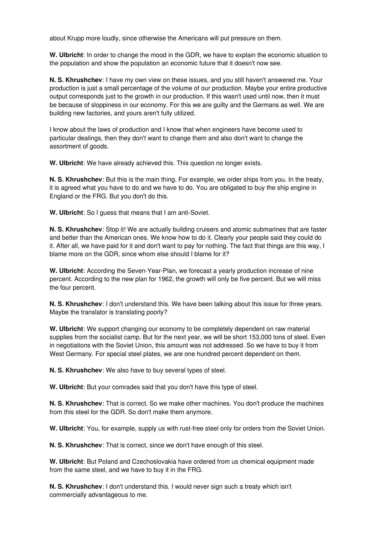about Krupp more loudly, since otherwise the Americans will put pressure on them.

**W. Ulbricht**: In order to change the mood in the GDR, we have to explain the economic situation to the population and show the population an economic future that it doesn't now see.

**N. S. Khrushchev**: I have my own view on these issues, and you still haven't answered me. Your production is just a small percentage of the volume of our production. Maybe your entire productive output corresponds just to the growth in our production. If this wasn't used until now, then it must be because of sloppiness in our economy. For this we are guilty and the Germans as well. We are building new factories, and yours aren't fully utilized.

I know about the laws of production and I know that when engineers have become used to particular dealings, then they don't want to change them and also don't want to change the assortment of goods.

**W. Ulbricht**: We have already achieved this. This question no longer exists.

**N. S. Khrushchev**: But this is the main thing. For example, we order ships from you. In the treaty, it is agreed what you have to do and we have to do. You are obligated to buy the ship engine in England or the FRG. But you don't do this.

**W. Ulbricht**: So I guess that means that I am anti-Soviet.

**N. S. Khrushchev**: Stop it! We are actually building cruisers and atomic submarines that are faster and better than the American ones. We know how to do it. Clearly your people said they could do it. After all, we have paid for it and don't want to pay for nothing. The fact that things are this way, I blame more on the GDR, since whom else should I blame for it?

**W. Ulbricht**: According the Seven-Year-Plan, we forecast a yearly production increase of nine percent. According to the new plan for 1962, the growth will only be five percent. But we will miss the four percent.

**N. S. Khrushchev**: I don't understand this. We have been talking about this issue for three years. Maybe the translator is translating poorly?

**W. Ulbricht**: We support changing our economy to be completely dependent on raw material supplies from the socialist camp. But for the next year, we will be short 153,000 tons of steel. Even in negotiations with the Soviet Union, this amount was not addressed. So we have to buy it from West Germany. For special steel plates, we are one hundred percent dependent on them.

**N. S. Khrushchev**: We also have to buy several types of steel.

**W. Ulbricht**: But your comrades said that you don't have this type of steel.

**N. S. Khrushchev**: That is correct. So we make other machines. You don't produce the machines from this steel for the GDR. So don't make them anymore.

**W. Ulbricht**: You, for example, supply us with rust-free steel only for orders from the Soviet Union.

**N. S. Khrushchev**: That is correct, since we don't have enough of this steel.

**W. Ulbricht**: But Poland and Czechoslovakia have ordered from us chemical equipment made from the same steel, and we have to buy it in the FRG.

**N. S. Khrushchev**: I don't understand this. I would never sign such a treaty which isn't commercially advantageous to me.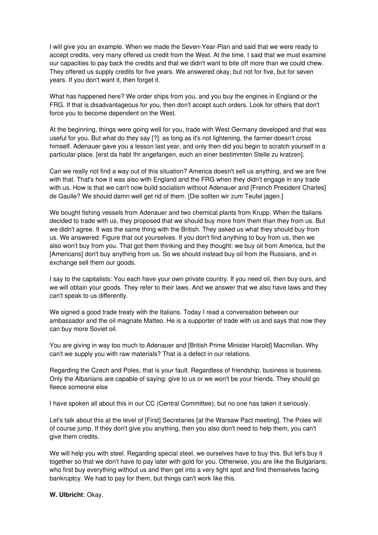I will give you an example. When we made the Seven-Year-Plan and said that we were ready to accept credits, very many offered us credit from the West. At the time, I said that we must examine our capacities to pay back the credits and that we didn't want to bite off more than we could chew. They offered us supply credits for five years. We answered okay, but not for five, but for seven years. If you don't want it, then forget it.

What has happened here? We order ships from you, and you buy the engines in England or the FRG. If that is disadvantageous for you, then don't accept such orders. Look for others that don't force you to become dependent on the West.

At the beginning, things were going well for you, trade with West Germany developed and that was useful for you. But what do they say [?]: as long as it's not lightening, the farmer doesn't cross himself. Adenauer gave you a lesson last year, and only then did you begin to scratch yourself in a particular place. [erst da habt Ihr angefangen, euch an einer bestimmten Stelle zu kratzen].

Can we really not find a way out of this situation? America doesn't sell us anything, and we are fine with that. That's how it was also with England and the FRG when they didn't engage in any trade with us. How is that we can't now build socialism without Adenauer and [French President Charles] de Gaulle? We should damn well get rid of them. [Die sollten wir zum Teufel jagen.]

We bought fishing vessels from Adenauer and two chemical plants from Krupp. When the Italians decided to trade with us, they proposed that we should buy more from them than they from us. But we didn't agree. It was the same thing with the British. They asked us what they should buy from us. We answered: Figure that out yourselves. If you don't find anything to buy from us, then we also won't buy from you. That got them thinking and they thought: we buy oil from America, but the [Americans] don't buy anything from us. So we should instead buy oil from the Russians, and in exchange sell them our goods.

I say to the capitalists: You each have your own private country. If you need oil, then buy ours, and we will obtain your goods. They refer to their laws. And we answer that we also have laws and they can't speak to us differently.

We signed a good trade treaty with the Italians. Today I read a conversation between our ambassador and the oil magnate Matteo. He is a supporter of trade with us and says that now they can buy more Soviet oil.

You are giving in way too much to Adenauer and [British Prime Minister Harold] Macmillan. Why can't we supply you with raw materials? That is a defect in our relations.

Regarding the Czech and Poles, that is your fault. Regardless of friendship, business is business. Only the Albanians are capable of saying: give to us or we won't be your friends. They should go fleece someone else

I have spoken all about this in our CC (Central Committee), but no one has taken it seriously.

Let's talk about this at the level of [First] Secretaries [at the Warsaw Pact meeting]. The Poles will of course jump. If they don't give you anything, then you also don't need to help them, you can't give them credits.

We will help you with steel. Regarding special steel, we ourselves have to buy this. But let's buy it together so that we don't have to pay later with gold for you. Otherwise, you are like the Bulgarians, who first buy everything without us and then get into a very tight spot and find themselves facing bankruptcy. We had to pay for them, but things can't work like this.

**W. Ulbricht**: Okay.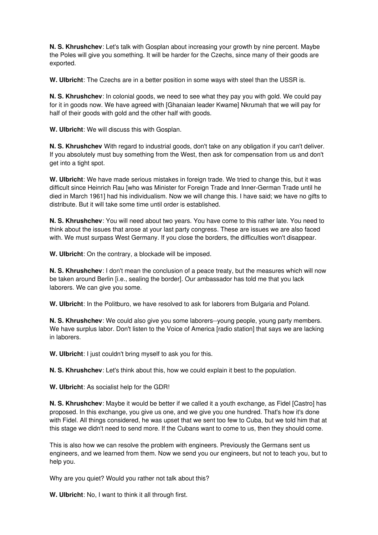**N. S. Khrushchev**: Let's talk with Gosplan about increasing your growth by nine percent. Maybe the Poles will give you something. It will be harder for the Czechs, since many of their goods are exported.

**W. Ulbricht**: The Czechs are in a better position in some ways with steel than the USSR is.

**N. S. Khrushchev**: In colonial goods, we need to see what they pay you with gold. We could pay for it in goods now. We have agreed with [Ghanaian leader Kwame] Nkrumah that we will pay for half of their goods with gold and the other half with goods.

**W. Ulbricht**: We will discuss this with Gosplan.

**N. S. Khrushchev** With regard to industrial goods, don't take on any obligation if you can't deliver. If you absolutely must buy something from the West, then ask for compensation from us and don't get into a tight spot.

**W. Ulbricht**: We have made serious mistakes in foreign trade. We tried to change this, but it was difficult since Heinrich Rau [who was Minister for Foreign Trade and Inner-German Trade until he died in March 1961] had his individualism. Now we will change this. I have said; we have no gifts to distribute. But it will take some time until order is established.

**N. S. Khrushchev**: You will need about two years. You have come to this rather late. You need to think about the issues that arose at your last party congress. These are issues we are also faced with. We must surpass West Germany. If you close the borders, the difficulties won't disappear.

**W. Ulbricht**: On the contrary, a blockade will be imposed.

**N. S. Khrushchev**: I don't mean the conclusion of a peace treaty, but the measures which will now be taken around Berlin [i.e., sealing the border]. Our ambassador has told me that you lack laborers. We can give you some.

**W. Ulbricht**: In the Politburo, we have resolved to ask for laborers from Bulgaria and Poland.

**N. S. Khrushchev**: We could also give you some laborers--young people, young party members. We have surplus labor. Don't listen to the Voice of America [radio station] that says we are lacking in laborers.

**W. Ulbricht**: I just couldn't bring myself to ask you for this.

**N. S. Khrushchev**: Let's think about this, how we could explain it best to the population.

**W. Ulbricht**: As socialist help for the GDR!

**N. S. Khrushchev**: Maybe it would be better if we called it a youth exchange, as Fidel [Castro] has proposed. In this exchange, you give us one, and we give you one hundred. That's how it's done with Fidel. All things considered, he was upset that we sent too few to Cuba, but we told him that at this stage we didn't need to send more. If the Cubans want to come to us, then they should come.

This is also how we can resolve the problem with engineers. Previously the Germans sent us engineers, and we learned from them. Now we send you our engineers, but not to teach you, but to help you.

Why are you quiet? Would you rather not talk about this?

**W. Ulbricht**: No, I want to think it all through first.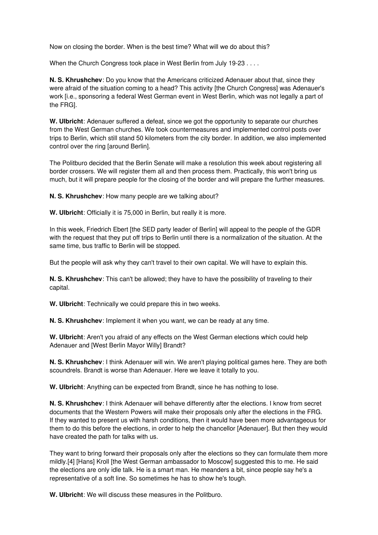Now on closing the border. When is the best time? What will we do about this?

When the Church Congress took place in West Berlin from July 19-23 . . . .

**N. S. Khrushchev**: Do you know that the Americans criticized Adenauer about that, since they were afraid of the situation coming to a head? This activity [the Church Congress] was Adenauer's work *li.e.*, sponsoring a federal West German event in West Berlin, which was not legally a part of the FRG].

**W. Ulbricht**: Adenauer suffered a defeat, since we got the opportunity to separate our churches from the West German churches. We took countermeasures and implemented control posts over trips to Berlin, which still stand 50 kilometers from the city border. In addition, we also implemented control over the ring [around Berlin].

The Politburo decided that the Berlin Senate will make a resolution this week about registering all border crossers. We will register them all and then process them. Practically, this won't bring us much, but it will prepare people for the closing of the border and will prepare the further measures.

**N. S. Khrushchev**: How many people are we talking about?

**W. Ulbricht**: Officially it is 75,000 in Berlin, but really it is more.

In this week, Friedrich Ebert [the SED party leader of Berlin] will appeal to the people of the GDR with the request that they put off trips to Berlin until there is a normalization of the situation. At the same time, bus traffic to Berlin will be stopped.

But the people will ask why they can't travel to their own capital. We will have to explain this.

**N. S. Khrushchev**: This can't be allowed; they have to have the possibility of traveling to their capital.

**W. Ulbricht**: Technically we could prepare this in two weeks.

**N. S. Khrushchev**: Implement it when you want, we can be ready at any time.

**W. Ulbricht**: Aren't you afraid of any effects on the West German elections which could help Adenauer and [West Berlin Mayor Willy] Brandt?

**N. S. Khrushchev**: I think Adenauer will win. We aren't playing political games here. They are both scoundrels. Brandt is worse than Adenauer. Here we leave it totally to you.

**W. Ulbricht**: Anything can be expected from Brandt, since he has nothing to lose.

**N. S. Khrushchev**: I think Adenauer will behave differently after the elections. I know from secret documents that the Western Powers will make their proposals only after the elections in the FRG. If they wanted to present us with harsh conditions, then it would have been more advantageous for them to do this before the elections, in order to help the chancellor [Adenauer]. But then they would have created the path for talks with us.

They want to bring forward their proposals only after the elections so they can formulate them more mildly.[4] [Hans] Kroll [the West German ambassador to Moscow] suggested this to me. He said the elections are only idle talk. He is a smart man. He meanders a bit, since people say he's a representative of a soft line. So sometimes he has to show he's tough.

**W. Ulbricht**: We will discuss these measures in the Politburo.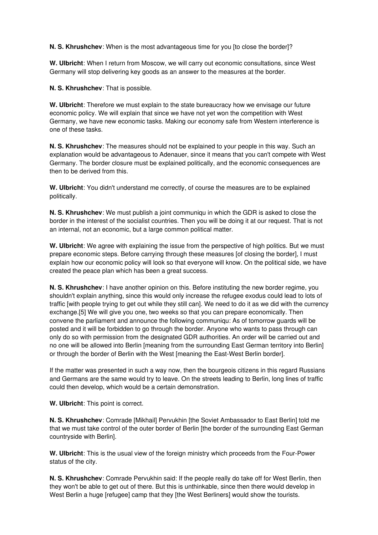**N. S. Khrushchev**: When is the most advantageous time for you [to close the border]?

**W. Ulbricht**: When I return from Moscow, we will carry out economic consultations, since West Germany will stop delivering key goods as an answer to the measures at the border.

**N. S. Khrushchev**: That is possible.

**W. Ulbricht**: Therefore we must explain to the state bureaucracy how we envisage our future economic policy. We will explain that since we have not yet won the competition with West Germany, we have new economic tasks. Making our economy safe from Western interference is one of these tasks.

**N. S. Khrushchev**: The measures should not be explained to your people in this way. Such an explanation would be advantageous to Adenauer, since it means that you can't compete with West Germany. The border closure must be explained politically, and the economic consequences are then to be derived from this.

**W. Ulbricht**: You didn't understand me correctly, of course the measures are to be explained politically.

**N. S. Khrushchev**: We must publish a joint communiqu in which the GDR is asked to close the border in the interest of the socialist countries. Then you will be doing it at our request. That is not an internal, not an economic, but a large common political matter.

**W. Ulbricht**: We agree with explaining the issue from the perspective of high politics. But we must prepare economic steps. Before carrying through these measures [of closing the border], I must explain how our economic policy will look so that everyone will know. On the political side, we have created the peace plan which has been a great success.

**N. S. Khrushchev**: I have another opinion on this. Before instituting the new border regime, you shouldn't explain anything, since this would only increase the refugee exodus could lead to lots of traffic [with people trying to get out while they still can]. We need to do it as we did with the currency exchange.[5] We will give you one, two weeks so that you can prepare economically. Then convene the parliament and announce the following communiqu: As of tomorrow guards will be posted and it will be forbidden to go through the border. Anyone who wants to pass through can only do so with permission from the designated GDR authorities. An order will be carried out and no one will be allowed into Berlin [meaning from the surrounding East German territory into Berlin] or through the border of Berlin with the West [meaning the East-West Berlin border].

If the matter was presented in such a way now, then the bourgeois citizens in this regard Russians and Germans are the same would try to leave. On the streets leading to Berlin, long lines of traffic could then develop, which would be a certain demonstration.

**W. Ulbricht**: This point is correct.

**N. S. Khrushchev**: Comrade [Mikhail] Pervukhin [the Soviet Ambassador to East Berlin] told me that we must take control of the outer border of Berlin [the border of the surrounding East German countryside with Berlin].

**W. Ulbricht**: This is the usual view of the foreign ministry which proceeds from the Four-Power status of the city.

**N. S. Khrushchev**: Comrade Pervukhin said: If the people really do take off for West Berlin, then they won't be able to get out of there. But this is unthinkable, since then there would develop in West Berlin a huge [refugee] camp that they [the West Berliners] would show the tourists.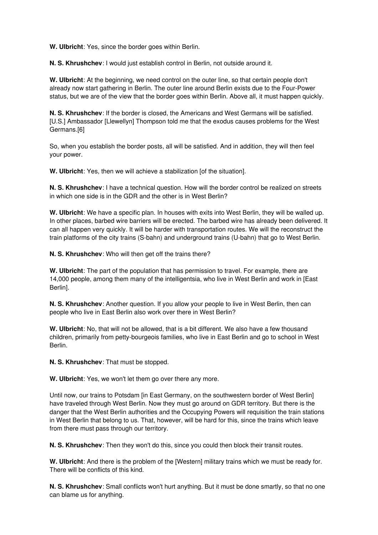**W. Ulbricht**: Yes, since the border goes within Berlin.

**N. S. Khrushchev**: I would just establish control in Berlin, not outside around it.

**W. Ulbricht**: At the beginning, we need control on the outer line, so that certain people don't already now start gathering in Berlin. The outer line around Berlin exists due to the Four-Power status, but we are of the view that the border goes within Berlin. Above all, it must happen quickly.

**N. S. Khrushchev**: If the border is closed, the Americans and West Germans will be satisfied. [U.S.] Ambassador [Llewellyn] Thompson told me that the exodus causes problems for the West Germans.[6]

So, when you establish the border posts, all will be satisfied. And in addition, they will then feel your power.

**W. Ulbricht**: Yes, then we will achieve a stabilization [of the situation].

**N. S. Khrushchev**: I have a technical question. How will the border control be realized on streets in which one side is in the GDR and the other is in West Berlin?

**W. Ulbricht**: We have a specific plan. In houses with exits into West Berlin, they will be walled up. In other places, barbed wire barriers will be erected. The barbed wire has already been delivered. It can all happen very quickly. It will be harder with transportation routes. We will the reconstruct the train platforms of the city trains (S-bahn) and underground trains (U-bahn) that go to West Berlin.

**N. S. Khrushchev**: Who will then get off the trains there?

**W. Ulbricht**: The part of the population that has permission to travel. For example, there are 14,000 people, among them many of the intelligentsia, who live in West Berlin and work in [East Berlin].

**N. S. Khrushchev**: Another question. If you allow your people to live in West Berlin, then can people who live in East Berlin also work over there in West Berlin?

**W. Ulbricht**: No, that will not be allowed, that is a bit different. We also have a few thousand children, primarily from petty-bourgeois families, who live in East Berlin and go to school in West Berlin.

**N. S. Khrushchev**: That must be stopped.

**W. Ulbricht**: Yes, we won't let them go over there any more.

Until now, our trains to Potsdam [in East Germany, on the southwestern border of West Berlin] have traveled through West Berlin. Now they must go around on GDR territory. But there is the danger that the West Berlin authorities and the Occupying Powers will requisition the train stations in West Berlin that belong to us. That, however, will be hard for this, since the trains which leave from there must pass through our territory.

**N. S. Khrushchev**: Then they won't do this, since you could then block their transit routes.

**W. Ulbricht**: And there is the problem of the [Western] military trains which we must be ready for. There will be conflicts of this kind.

**N. S. Khrushchev**: Small conflicts won't hurt anything. But it must be done smartly, so that no one can blame us for anything.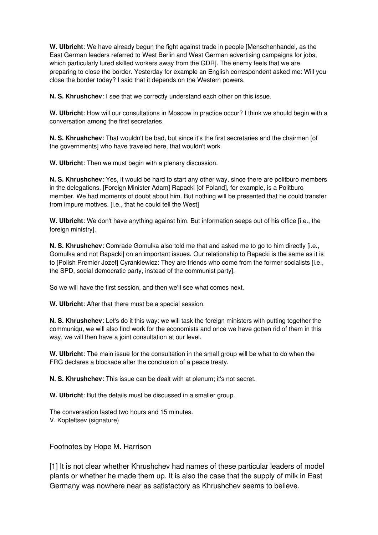**W. Ulbricht**: We have already begun the fight against trade in people [Menschenhandel, as the East German leaders referred to West Berlin and West German advertising campaigns for jobs, which particularly lured skilled workers away from the GDR]. The enemy feels that we are preparing to close the border. Yesterday for example an English correspondent asked me: Will you close the border today? I said that it depends on the Western powers.

**N. S. Khrushchev**: I see that we correctly understand each other on this issue.

**W. Ulbricht**: How will our consultations in Moscow in practice occur? I think we should begin with a conversation among the first secretaries.

**N. S. Khrushchev**: That wouldn't be bad, but since it's the first secretaries and the chairmen [of the governments] who have traveled here, that wouldn't work.

**W. Ulbricht**: Then we must begin with a plenary discussion.

**N. S. Khrushchev**: Yes, it would be hard to start any other way, since there are politburo members in the delegations. [Foreign Minister Adam] Rapacki [of Poland], for example, is a Politburo member. We had moments of doubt about him. But nothing will be presented that he could transfer from impure motives. [i.e., that he could tell the West]

**W. Ulbricht**: We don't have anything against him. But information seeps out of his office [i.e., the foreign ministry].

**N. S. Khrushchev**: Comrade Gomulka also told me that and asked me to go to him directly [i.e., Gomulka and not Rapacki] on an important issues. Our relationship to Rapacki is the same as it is to [Polish Premier Jozef] Cyrankiewicz: They are friends who come from the former socialists [i.e., the SPD, social democratic party, instead of the communist party].

So we will have the first session, and then we'll see what comes next.

**W. Ulbricht**: After that there must be a special session.

**N. S. Khrushchev**: Let's do it this way: we will task the foreign ministers with putting together the communiqu, we will also find work for the economists and once we have gotten rid of them in this way, we will then have a joint consultation at our level.

**W. Ulbricht**: The main issue for the consultation in the small group will be what to do when the FRG declares a blockade after the conclusion of a peace treaty.

**N. S. Khrushchev**: This issue can be dealt with at plenum; it's not secret.

**W. Ulbricht**: But the details must be discussed in a smaller group.

The conversation lasted two hours and 15 minutes. V. Kopteltsev (signature)

Footnotes by Hope M. Harrison

[1] It is not clear whether Khrushchev had names of these particular leaders of model plants or whether he made them up. It is also the case that the supply of milk in East Germany was nowhere near as satisfactory as Khrushchev seems to believe.